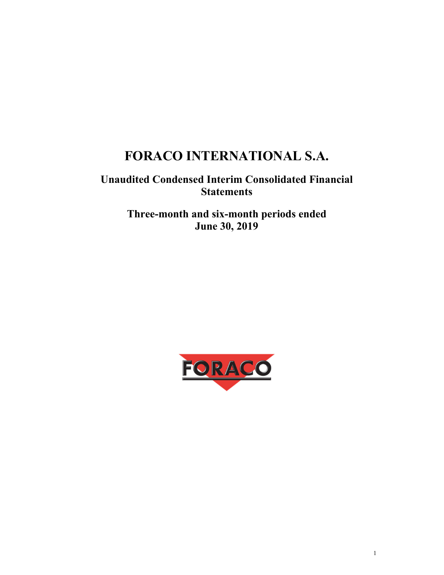# **FORACO INTERNATIONAL S.A.**

## **Unaudited Condensed Interim Consolidated Financial Statements**

**Three-month and six-month periods ended June 30, 2019** 

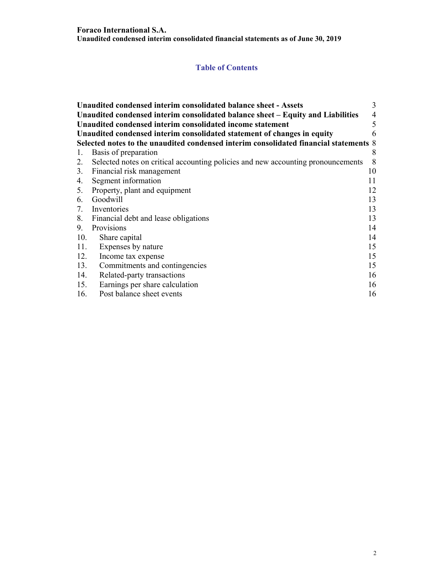## **Table of Contents**

|     | Unaudited condensed interim consolidated balance sheet - Assets                       | 3  |
|-----|---------------------------------------------------------------------------------------|----|
|     | Unaudited condensed interim consolidated balance sheet - Equity and Liabilities       | 4  |
|     | Unaudited condensed interim consolidated income statement                             | 5  |
|     | Unaudited condensed interim consolidated statement of changes in equity               | 6  |
|     | Selected notes to the unaudited condensed interim consolidated financial statements 8 |    |
| 1.  | Basis of preparation                                                                  | 8  |
| 2.  | Selected notes on critical accounting policies and new accounting pronouncements      | 8  |
|     | 3. Financial risk management                                                          | 10 |
| 4.  | Segment information                                                                   | 11 |
|     | 5. Property, plant and equipment                                                      | 12 |
|     | 6. Goodwill                                                                           | 13 |
|     | 7. Inventories                                                                        | 13 |
|     | 8. Financial debt and lease obligations                                               | 13 |
| 9.  | Provisions                                                                            | 14 |
| 10. | Share capital                                                                         | 14 |
| 11. | Expenses by nature                                                                    | 15 |
| 12. | Income tax expense                                                                    | 15 |
| 13. | Commitments and contingencies                                                         | 15 |
| 14. | Related-party transactions                                                            | 16 |
| 15. | Earnings per share calculation                                                        | 16 |
| 16. | Post balance sheet events                                                             | 16 |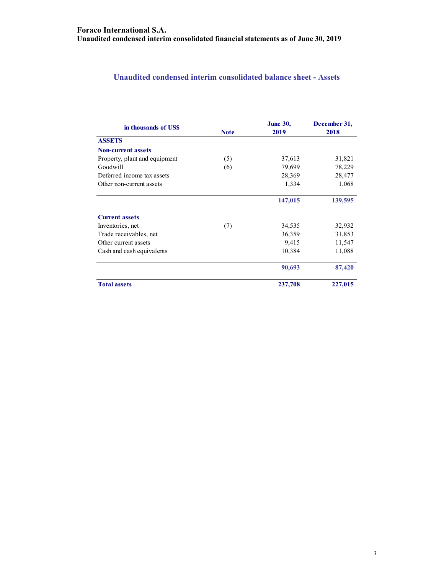## **Unaudited condensed interim consolidated balance sheet - Assets**

| in thousands of US\$          |             | <b>June 30,</b> | December 31, |
|-------------------------------|-------------|-----------------|--------------|
|                               | <b>Note</b> | 2019            | 2018         |
| <b>ASSETS</b>                 |             |                 |              |
| <b>Non-current assets</b>     |             |                 |              |
| Property, plant and equipment | (5)         | 37,613          | 31,821       |
| Goodwill                      | (6)         | 79,699          | 78,229       |
| Deferred income tax assets    |             | 28,369          | 28,477       |
| Other non-current assets      |             | 1,334           | 1,068        |
|                               |             | 147,015         | 139,595      |
| <b>Current assets</b>         |             |                 |              |
| Inventories, net              | (7)         | 34,535          | 32,932       |
| Trade receivables, net        |             | 36,359          | 31,853       |
| Other current assets          |             | 9,415           | 11,547       |
| Cash and cash equivalents     |             | 10,384          | 11,088       |
|                               |             | 90,693          | 87,420       |
| <b>Total assets</b>           |             | 237,708         | 227,015      |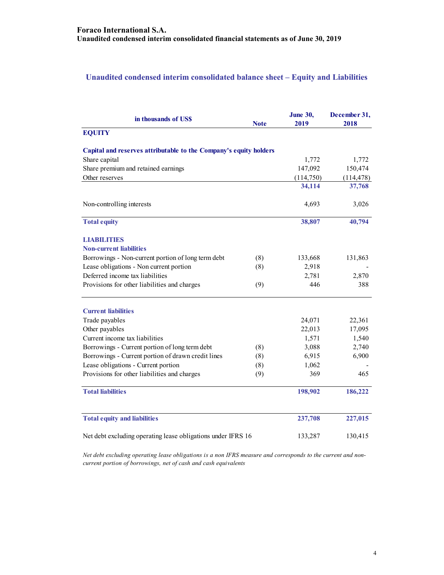## **Unaudited condensed interim consolidated balance sheet – Equity and Liabilities**

| in thousands of US\$                                              | <b>Note</b> | <b>June 30,</b><br>2019 | December 31,<br>2018 |
|-------------------------------------------------------------------|-------------|-------------------------|----------------------|
| <b>EQUITY</b>                                                     |             |                         |                      |
| Capital and reserves attributable to the Company's equity holders |             |                         |                      |
| Share capital                                                     |             | 1,772                   | 1,772                |
| Share premium and retained earnings                               |             | 147,092                 | 150,474              |
| Other reserves                                                    |             | (114,750)               | (114, 478)           |
|                                                                   |             | 34,114                  | 37,768               |
| Non-controlling interests                                         |             | 4,693                   | 3,026                |
| <b>Total equity</b>                                               |             | 38,807                  | 40,794               |
| LIABILITIES                                                       |             |                         |                      |
| <b>Non-current liabilities</b>                                    |             |                         |                      |
| Borrowings - Non-current portion of long term debt                | (8)         | 133,668                 | 131,863              |
| Lease obligations - Non current portion                           | (8)         | 2,918                   |                      |
| Deferred income tax liabilities                                   |             | 2,781                   | 2,870                |
| Provisions for other liabilities and charges                      | (9)         | 446                     | 388                  |
| <b>Current liabilities</b>                                        |             |                         |                      |
| Trade payables                                                    |             | 24,071                  | 22,361               |
| Other payables                                                    |             | 22,013                  | 17,095               |
| Current income tax liabilities                                    |             | 1,571                   | 1,540                |
| Borrowings - Current portion of long term debt                    | (8)         | 3,088                   | 2,740                |
| Borrowings - Current portion of drawn credit lines                | (8)         | 6,915                   | 6,900                |
| Lease obligations - Current portion                               | (8)         | 1,062                   |                      |
| Provisions for other liabilities and charges                      | (9)         | 369                     | 465                  |
| <b>Total liabilities</b>                                          |             | 198,902                 | 186,222              |
| <b>Total equity and liabilities</b>                               |             | 237,708                 | 227,015              |
| Net debt excluding operating lease obligations under IFRS 16      |             | 133,287                 | 130,415              |

*Net debt excluding operating lease obligations is a non IFRS measure and corresponds to the current and noncurrent portion of borrowings, net of cash and cash equivalents*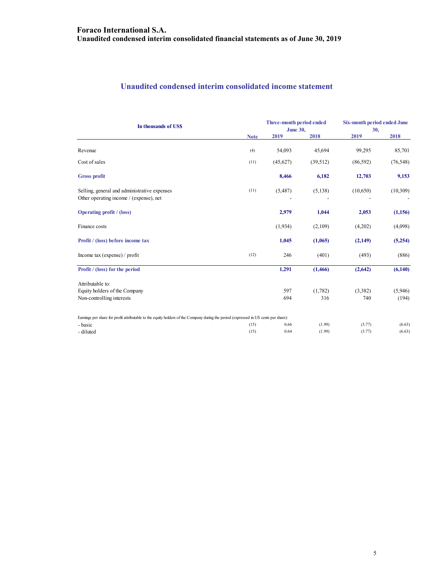## **Unaudited condensed interim consolidated income statement**

| In thousands of US\$                                                                                                                 | Three-month period ended<br><b>June 30,</b> |          |           | Six-month period ended June<br>30, |           |
|--------------------------------------------------------------------------------------------------------------------------------------|---------------------------------------------|----------|-----------|------------------------------------|-----------|
|                                                                                                                                      | <b>Note</b>                                 | 2019     | 2018      | 2019                               | 2018      |
| Revenue                                                                                                                              | (4)                                         | 54,093   | 45,694    | 99,295                             | 85,701    |
| Cost of sales                                                                                                                        | (11)                                        | (45,627) | (39, 512) | (86, 592)                          | (76, 548) |
| <b>Gross profit</b>                                                                                                                  |                                             | 8,466    | 6,182     | 12,703                             | 9,153     |
| Selling, general and administrative expenses<br>Other operating income / (expense), net                                              | (11)                                        | (5,487)  | (5,138)   | (10,650)                           | (10, 309) |
| <b>Operating profit</b> / (loss)                                                                                                     |                                             | 2,979    | 1,044     | 2,053                              | (1,156)   |
| Finance costs                                                                                                                        |                                             | (1,934)  | (2,109)   | (4,202)                            | (4,098)   |
| Profit / (loss) before income tax                                                                                                    |                                             | 1,045    | (1,065)   | (2,149)                            | (5,254)   |
| Income tax (expense) / profit                                                                                                        | (12)                                        | 246      | (401)     | (493)                              | (886)     |
| Profit / (loss) for the period                                                                                                       |                                             | 1,291    | (1,466)   | (2,642)                            | (6,140)   |
| Attributable to:                                                                                                                     |                                             |          |           |                                    |           |
| Equity holders of the Company                                                                                                        |                                             | 597      | (1,782)   | (3,382)                            | (5,946)   |
| Non-controlling interests                                                                                                            |                                             | 694      | 316       | 740                                | (194)     |
| Earnings per share for profit attributable to the equity holders of the Company during the period (expressed in US cents per share): |                                             |          |           |                                    |           |
| - basic                                                                                                                              | (15)                                        | 0.66     | (1.99)    | (3.77)                             | (6.63)    |
| - diluted                                                                                                                            | (15)                                        | 0.64     | (1.99)    | (3.77)                             | (6.63)    |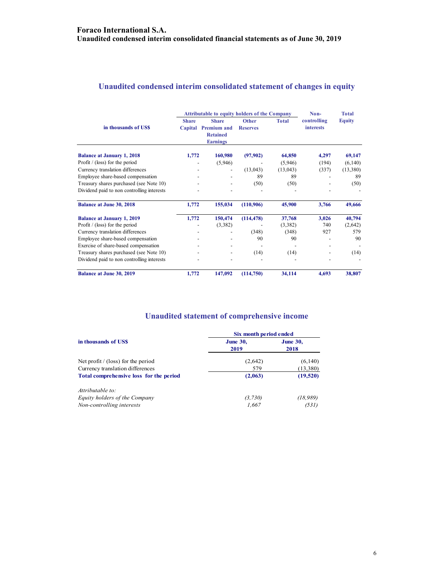## **Unaudited condensed interim consolidated statement of changes in equity**

|                                            | <b>Attributable to equity holders of the Company</b> |                          |                 |              | Non-             | <b>Total</b>  |
|--------------------------------------------|------------------------------------------------------|--------------------------|-----------------|--------------|------------------|---------------|
|                                            | <b>Share</b>                                         | <b>Share</b>             | <b>Other</b>    | <b>Total</b> | controlling      | <b>Equity</b> |
| in thousands of USS                        | Capital                                              | <b>Premium and</b>       | <b>Reserves</b> |              | <b>interests</b> |               |
|                                            |                                                      | <b>Retained</b>          |                 |              |                  |               |
|                                            |                                                      | <b>Earnings</b>          |                 |              |                  |               |
| <b>Balance at January 1, 2018</b>          | 1,772                                                | 160,980                  | (97,902)        | 64,850       | 4,297            | 69,147        |
| Profit $/$ (loss) for the period           |                                                      | (5,946)                  |                 | (5,946)      | (194)            | (6, 140)      |
| Currency translation differences           |                                                      | $\overline{\phantom{a}}$ | (13, 043)       | (13, 043)    | (337)            | (13,380)      |
| Employee share-based compensation          |                                                      |                          | 89              | 89           |                  | 89            |
| Treasury shares purchased (see Note 10)    |                                                      |                          | (50)            | (50)         |                  | (50)          |
| Dividend paid to non controlling interests |                                                      |                          |                 |              |                  |               |
| <b>Balance at June 30, 2018</b>            | 1,772                                                | 155,034                  | (110,906)       | 45,900       | 3,766            | 49,666        |
| <b>Balance at January 1, 2019</b>          | 1,772                                                | 150,474                  | (114, 478)      | 37,768       | 3,026            | 40,794        |
| Profit $/$ (loss) for the period           |                                                      | (3,382)                  |                 | (3,382)      | 740              | (2,642)       |
| Currency translation differences           |                                                      |                          | (348)           | (348)        | 927              | 579           |
| Employee share-based compensation          |                                                      |                          | 90              | 90           |                  | 90            |
| Exercise of share-based compensation       |                                                      |                          |                 |              |                  |               |
| Treasury shares purchased (see Note 10)    |                                                      |                          | (14)            | (14)         |                  | (14)          |
| Dividend paid to non controlling interests |                                                      |                          |                 |              |                  |               |
| <b>Balance at June 30, 2019</b>            | 1,772                                                | 147,092                  | (114,750)       | 34,114       | 4,693            | 38,807        |

## **Unaudited statement of comprehensive income**

|                                         | Six month period ended  |                         |  |  |
|-----------------------------------------|-------------------------|-------------------------|--|--|
| in thousands of USS                     | <b>June 30,</b><br>2019 | <b>June 30,</b><br>2018 |  |  |
| Net profit $/$ (loss) for the period    | (2,642)                 | (6,140)                 |  |  |
| Currency translation differences        | 579                     | (13,380)                |  |  |
| Total comprehensive loss for the period | (2,063)                 | (19,520)                |  |  |
| Attributable to:                        |                         |                         |  |  |
| Equity holders of the Company           | (3,730)                 | (18, 989)               |  |  |
| Non-controlling interests               | 1,667                   | (531)                   |  |  |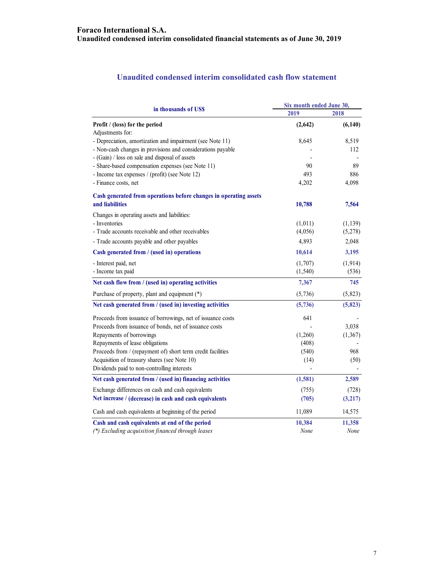## **Unaudited condensed interim consolidated cash flow statement**

| in thousands of US\$                                              | Six month ended June 30, |          |  |
|-------------------------------------------------------------------|--------------------------|----------|--|
|                                                                   | 2019                     | 2018     |  |
| Profit / (loss) for the period                                    | (2,642)                  | (6,140)  |  |
| Adjustments for:                                                  |                          |          |  |
| - Depreciation, amortization and impairment (see Note 11)         | 8,645                    | 8,519    |  |
| - Non-cash changes in provisions and considerations payable       |                          | 112      |  |
| - (Gain) / loss on sale and disposal of assets                    |                          |          |  |
| - Share-based compensation expenses (see Note 11)                 | 90                       | 89       |  |
| - Income tax expenses / (profit) (see Note 12)                    | 493                      | 886      |  |
| - Finance costs, net                                              | 4,202                    | 4,098    |  |
| Cash generated from operations before changes in operating assets |                          |          |  |
| and liabilities                                                   | 10,788                   | 7,564    |  |
| Changes in operating assets and liabilities:                      |                          |          |  |
| - Inventories                                                     | (1,011)                  | (1,139)  |  |
| - Trade accounts receivable and other receivables                 | (4,056)                  | (5,278)  |  |
| - Trade accounts payable and other payables                       | 4,893                    | 2,048    |  |
| Cash generated from / (used in) operations                        | 10,614                   | 3,195    |  |
| - Interest paid, net                                              | (1,707)                  | (1, 914) |  |
| - Income tax paid                                                 | (1, 540)                 | (536)    |  |
| Net cash flow from / (used in) operating activities               | 7,367                    | 745      |  |
| Purchase of property, plant and equipment (*)                     | (5,736)                  | (5,823)  |  |
| Net cash generated from / (used in) investing activities          | (5,736)                  | (5, 823) |  |
| Proceeds from issuance of borrowings, net of issuance costs       | 641                      |          |  |
| Proceeds from issuance of bonds, net of issuance costs            |                          | 3,038    |  |
| Repayments of borrowings                                          | (1,260)                  | (1, 367) |  |
| Repayments of lease obligations                                   | (408)                    |          |  |
| Proceeds from / (repayment of) short term credit facilities       | (540)                    | 968      |  |
| Acquisition of treasury shares (see Note 10)                      | (14)                     | (50)     |  |
| Dividends paid to non-controlling interests                       |                          |          |  |
| Net cash generated from / (used in) financing activities          | (1, 581)                 | 2,589    |  |
| Exchange differences on cash and cash equivalents                 | (755)                    | (728)    |  |
| Net increase / (decrease) in cash and cash equivalents            | (705)                    | (3,217)  |  |
| Cash and cash equivalents at beginning of the period              | 11,089                   | 14,575   |  |
| Cash and cash equivalents at end of the period                    | 10,384                   | 11,358   |  |
| (*) Excluding acquisition financed through leases                 | None                     | None     |  |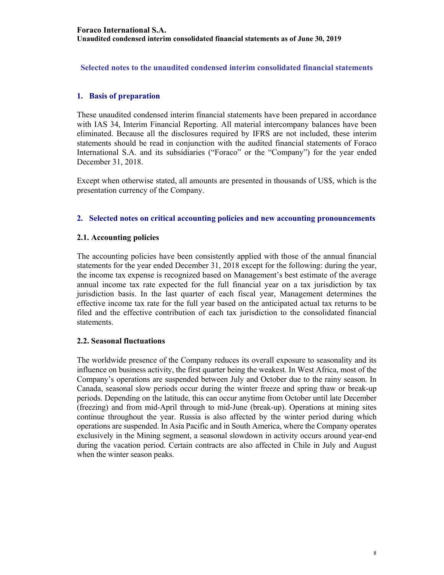**Selected notes to the unaudited condensed interim consolidated financial statements** 

## **1. Basis of preparation**

These unaudited condensed interim financial statements have been prepared in accordance with IAS 34, Interim Financial Reporting. All material intercompany balances have been eliminated. Because all the disclosures required by IFRS are not included, these interim statements should be read in conjunction with the audited financial statements of Foraco International S.A. and its subsidiaries ("Foraco" or the "Company") for the year ended December 31, 2018.

Except when otherwise stated, all amounts are presented in thousands of US\$, which is the presentation currency of the Company.

## **2. Selected notes on critical accounting policies and new accounting pronouncements**

## **2.1. Accounting policies**

The accounting policies have been consistently applied with those of the annual financial statements for the year ended December 31, 2018 except for the following: during the year, the income tax expense is recognized based on Management's best estimate of the average annual income tax rate expected for the full financial year on a tax jurisdiction by tax jurisdiction basis. In the last quarter of each fiscal year, Management determines the effective income tax rate for the full year based on the anticipated actual tax returns to be filed and the effective contribution of each tax jurisdiction to the consolidated financial statements.

## **2.2. Seasonal fluctuations**

The worldwide presence of the Company reduces its overall exposure to seasonality and its influence on business activity, the first quarter being the weakest. In West Africa, most of the Company's operations are suspended between July and October due to the rainy season. In Canada, seasonal slow periods occur during the winter freeze and spring thaw or break-up periods. Depending on the latitude, this can occur anytime from October until late December (freezing) and from mid-April through to mid-June (break-up). Operations at mining sites continue throughout the year. Russia is also affected by the winter period during which operations are suspended. In Asia Pacific and in South America, where the Company operates exclusively in the Mining segment, a seasonal slowdown in activity occurs around year-end during the vacation period. Certain contracts are also affected in Chile in July and August when the winter season peaks.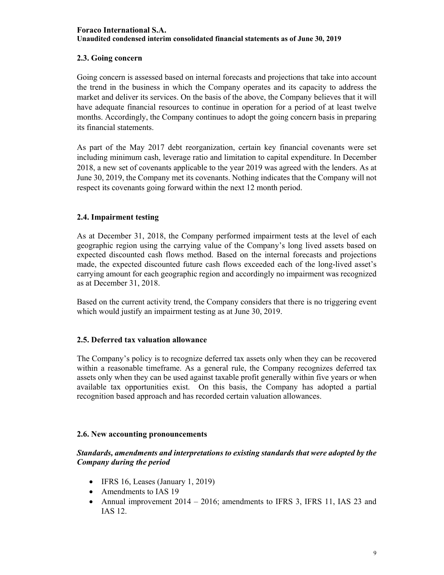## **2.3. Going concern**

Going concern is assessed based on internal forecasts and projections that take into account the trend in the business in which the Company operates and its capacity to address the market and deliver its services. On the basis of the above, the Company believes that it will have adequate financial resources to continue in operation for a period of at least twelve months. Accordingly, the Company continues to adopt the going concern basis in preparing its financial statements.

As part of the May 2017 debt reorganization, certain key financial covenants were set including minimum cash, leverage ratio and limitation to capital expenditure. In December 2018, a new set of covenants applicable to the year 2019 was agreed with the lenders. As at June 30, 2019, the Company met its covenants. Nothing indicates that the Company will not respect its covenants going forward within the next 12 month period.

## **2.4. Impairment testing**

As at December 31, 2018, the Company performed impairment tests at the level of each geographic region using the carrying value of the Company's long lived assets based on expected discounted cash flows method. Based on the internal forecasts and projections made, the expected discounted future cash flows exceeded each of the long-lived asset's carrying amount for each geographic region and accordingly no impairment was recognized as at December 31, 2018.

Based on the current activity trend, the Company considers that there is no triggering event which would justify an impairment testing as at June 30, 2019.

## **2.5. Deferred tax valuation allowance**

The Company's policy is to recognize deferred tax assets only when they can be recovered within a reasonable timeframe. As a general rule, the Company recognizes deferred tax assets only when they can be used against taxable profit generally within five years or when available tax opportunities exist. On this basis, the Company has adopted a partial recognition based approach and has recorded certain valuation allowances.

## **2.6. New accounting pronouncements**

## *Standards, amendments and interpretations to existing standards that were adopted by the Company during the period*

- $\bullet$  IFRS 16, Leases (January 1, 2019)
- Amendments to IAS 19
- Annual improvement  $2014 2016$ ; amendments to IFRS 3, IFRS 11, IAS 23 and IAS 12.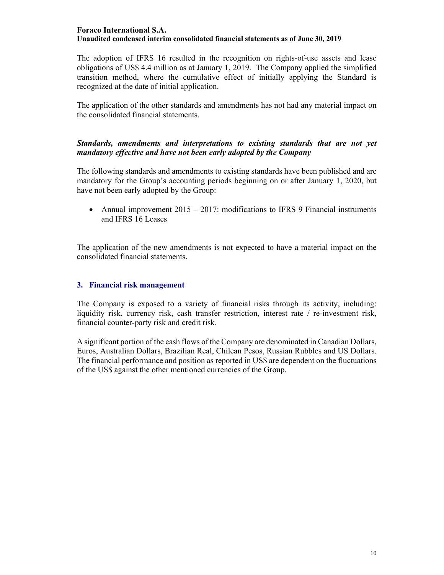The adoption of IFRS 16 resulted in the recognition on rights-of-use assets and lease obligations of US\$ 4.4 million as at January 1, 2019. The Company applied the simplified transition method, where the cumulative effect of initially applying the Standard is recognized at the date of initial application.

The application of the other standards and amendments has not had any material impact on the consolidated financial statements.

## *Standards, amendments and interpretations to existing standards that are not yet mandatory effective and have not been early adopted by the Company*

The following standards and amendments to existing standards have been published and are mandatory for the Group's accounting periods beginning on or after January 1, 2020, but have not been early adopted by the Group:

• Annual improvement  $2015 - 2017$ : modifications to IFRS 9 Financial instruments and IFRS 16 Leases

The application of the new amendments is not expected to have a material impact on the consolidated financial statements.

## **3. Financial risk management**

The Company is exposed to a variety of financial risks through its activity, including: liquidity risk, currency risk, cash transfer restriction, interest rate / re-investment risk, financial counter-party risk and credit risk.

A significant portion of the cash flows of the Company are denominated in Canadian Dollars, Euros, Australian Dollars, Brazilian Real, Chilean Pesos, Russian Rubbles and US Dollars. The financial performance and position as reported in US\$ are dependent on the fluctuations of the US\$ against the other mentioned currencies of the Group.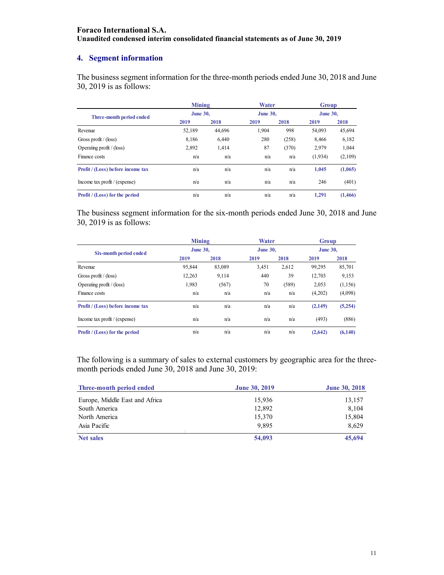## **4. Segment information**

The business segment information for the three-month periods ended June 30, 2018 and June 30, 2019 is as follows:

|                                                              | Mining          |        | Water           |       | Group           |         |
|--------------------------------------------------------------|-----------------|--------|-----------------|-------|-----------------|---------|
| Three-month period ended<br>Revenue<br>Gross profit / (loss) | <b>June 30,</b> |        | <b>June 30.</b> |       | <b>June 30.</b> |         |
|                                                              | 2019            | 2018   | 2019            | 2018  | 2019            | 2018    |
|                                                              | 52,189          | 44.696 | 1.904           | 998   | 54,093          | 45,694  |
|                                                              | 8.186           | 6.440  | 280             | (258) | 8.466           | 6,182   |
| Operating profit $/$ (loss)                                  | 2.892           | 1,414  | 87              | (370) | 2,979           | 1,044   |
| Finance costs                                                | n/a             | n/a    | n/a             | n/a   | (1,934)         | (2,109) |
| Profit / (Loss) before income tax                            | n/a             | n/a    | n/a             | n/a   | 1,045           | (1,065) |
| Income tax profit $/$ (expense)                              | n/a             | n/a    | n/a             | n/a   | 246             | (401)   |
| Profit / (Loss) for the period                               | n/a             | n/a    | n/a             | n/a   | 1.291           | (1,466) |

The business segment information for the six-month periods ended June 30, 2018 and June 30, 2019 is as follows:

|                                   |                 | <b>Mining</b> |                 | Water | Group           |         |
|-----------------------------------|-----------------|---------------|-----------------|-------|-----------------|---------|
| Six-month period ended            | <b>June 30.</b> |               | <b>June 30,</b> |       | <b>June 30.</b> |         |
|                                   | 2019            | 2018          | 2019            | 2018  | 2019            | 2018    |
| Revenue                           | 95,844          | 83,089        | 3,451           | 2,612 | 99,295          | 85,701  |
| Gross profit / (loss)             | 12,263          | 9,114         | 440             | 39    | 12,703          | 9,153   |
| Operating profit $/$ (loss)       | 1,983           | (567)         | 70              | (589) | 2,053           | (1,156) |
| Finance costs                     | n/a             | n/a           | n/a             | n/a   | (4,202)         | (4,098) |
| Profit / (Loss) before income tax | n/a             | n/a           | n/a             | n/a   | (2,149)         | (5,254) |
| Income tax profit $/$ (expense)   | n/a             | n/a           | n/a             | n/a   | (493)           | (886)   |
| Profit / (Loss) for the period    | n/a             | n/a           | n/a             | n/a   | (2,642)         | (6,140) |

The following is a summary of sales to external customers by geographic area for the threemonth periods ended June 30, 2018 and June 30, 2019:

| Three-month period ended       | <b>June 30, 2019</b> | <b>June 30, 2018</b> |
|--------------------------------|----------------------|----------------------|
| Europe, Middle East and Africa | 15,936               | 13,157               |
| South America                  | 12,892               | 8,104                |
| North America                  | 15,370               | 15,804               |
| Asia Pacific                   | 9.895                | 8.629                |
| <b>Net sales</b>               | 54,093               | 45,694               |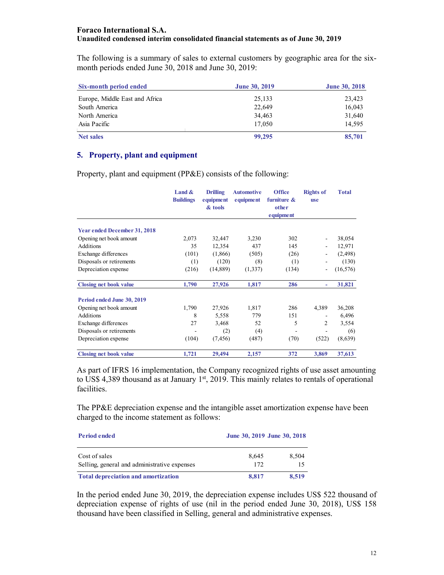The following is a summary of sales to external customers by geographic area for the sixmonth periods ended June 30, 2018 and June 30, 2019:

| Six-month period ended         | <b>June 30, 2019</b> | <b>June 30, 2018</b> |
|--------------------------------|----------------------|----------------------|
| Europe, Middle East and Africa | 25,133               | 23,423               |
| South America                  | 22,649               | 16,043               |
| North America                  | 34,463               | 31,640               |
| Asia Pacific                   | 17,050               | 14.595               |
| <b>Net sales</b>               | 99,295               | 85,701               |

#### **5. Property, plant and equipment**

Property, plant and equipment (PP&E) consists of the following:

|                                     | Land $\&$<br><b>Buildings</b> | <b>Drilling</b><br>equipment<br>& tools | <b>Automotive</b><br>equipment | <b>Office</b><br>furniture &<br>other<br>equipment | <b>Rights of</b><br><b>use</b> | <b>Total</b> |
|-------------------------------------|-------------------------------|-----------------------------------------|--------------------------------|----------------------------------------------------|--------------------------------|--------------|
|                                     |                               |                                         |                                |                                                    |                                |              |
| <b>Year ended December 31, 2018</b> |                               |                                         |                                |                                                    |                                |              |
| Opening net book amount             | 2,073                         | 32,447                                  | 3,230                          | 302                                                |                                | 38,054       |
| Additions                           | 35                            | 12,354                                  | 437                            | 145                                                |                                | 12,971       |
| Exchange differences                | (101)                         | (1,866)                                 | (505)                          | (26)                                               |                                | (2, 498)     |
| Disposals or retirements            | (1)                           | (120)                                   | (8)                            | (1)                                                |                                | (130)        |
| Depreciation expense                | (216)                         | (14, 889)                               | (1,337)                        | (134)                                              | -                              | (16, 576)    |
| <b>Closing net book value</b>       | 1,790                         | 27,926                                  | 1,817                          | 286                                                | ٠                              | 31,821       |
| Period ended June 30, 2019          |                               |                                         |                                |                                                    |                                |              |
| Opening net book amount             | 1,790                         | 27,926                                  | 1,817                          | 286                                                | 4,389                          | 36,208       |
| Additions                           | 8                             | 5,558                                   | 779                            | 151                                                |                                | 6,496        |
| Exchange differences                | 27                            | 3,468                                   | 52                             | 5                                                  | 2                              | 3,554        |
| Disposals or retirements            |                               | (2)                                     | (4)                            |                                                    |                                | (6)          |
| Depreciation expense                | (104)                         | (7, 456)                                | (487)                          | (70)                                               | (522)                          | (8,639)      |
| <b>Closing net book value</b>       | 1,721                         | 29,494                                  | 2,157                          | 372                                                | 3,869                          | 37,613       |

As part of IFRS 16 implementation, the Company recognized rights of use asset amounting to US\$ 4,389 thousand as at January  $1<sup>st</sup>$ , 2019. This mainly relates to rentals of operational facilities.

The PP&E depreciation expense and the intangible asset amortization expense have been charged to the income statement as follows:

| <b>Period ended</b>                                           | June 30, 2019 June 30, 2018 |             |  |
|---------------------------------------------------------------|-----------------------------|-------------|--|
| Cost of sales<br>Selling, general and administrative expenses | 8.645<br>172                | 8,504<br>15 |  |
| <b>Total depreciation and amortization</b>                    | 8.817                       | 8.519       |  |

In the period ended June 30, 2019, the depreciation expense includes US\$ 522 thousand of depreciation expense of rights of use (nil in the period ended June 30, 2018), US\$ 158 thousand have been classified in Selling, general and administrative expenses.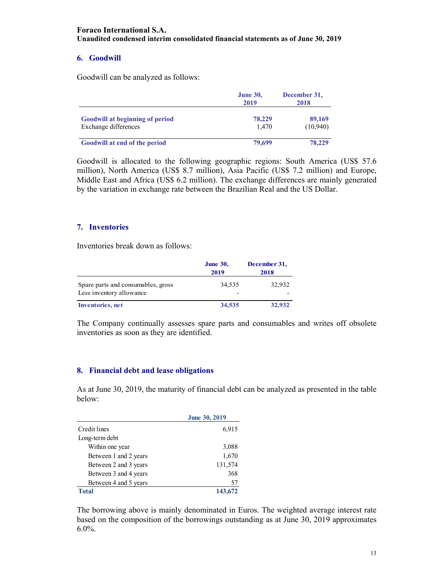## **6. Goodwill**

Goodwill can be analyzed as follows:

|                                                                | <b>June 30,</b><br>2019 | December 31,<br>2018 |  |
|----------------------------------------------------------------|-------------------------|----------------------|--|
| <b>Goodwill at beginning of period</b><br>Exchange differences | 78,229<br>1.470         | 89,169<br>(10,940)   |  |
| Goodwill at end of the period                                  | 79,699                  | 78,229               |  |

Goodwill is allocated to the following geographic regions: South America (US\$ 57.6 million), North America (US\$ 8.7 million), Asia Pacific (US\$ 7.2 million) and Europe, Middle East and Africa (US\$ 6.2 million). The exchange differences are mainly generated by the variation in exchange rate between the Brazilian Real and the US Dollar.

## **7. Inventories**

Inventories break down as follows:

|                                                                | <b>June 30,</b><br>2019 | December 31,<br>2018 |
|----------------------------------------------------------------|-------------------------|----------------------|
| Spare parts and consumables, gross<br>Less inventory allowance | 34.535<br>-             | 32,932               |
| <b>Inventories</b> , net                                       | 34,535                  | 32,932               |

The Company continually assesses spare parts and consumables and writes off obsolete inventories as soon as they are identified.

## **8. Financial debt and lease obligations**

As at June 30, 2019, the maturity of financial debt can be analyzed as presented in the table below:

|                       | <b>June 30, 2019</b> |
|-----------------------|----------------------|
| Credit lines          | 6,915                |
| Long-term debt        |                      |
| Within one year       | 3,088                |
| Between 1 and 2 years | 1,670                |
| Between 2 and 3 years | 131,574              |
| Between 3 and 4 years | 368                  |
| Between 4 and 5 years | 57                   |
| <b>Total</b>          | 143,672              |

The borrowing above is mainly denominated in Euros. The weighted average interest rate based on the composition of the borrowings outstanding as at June 30, 2019 approximates  $6.0\%$ .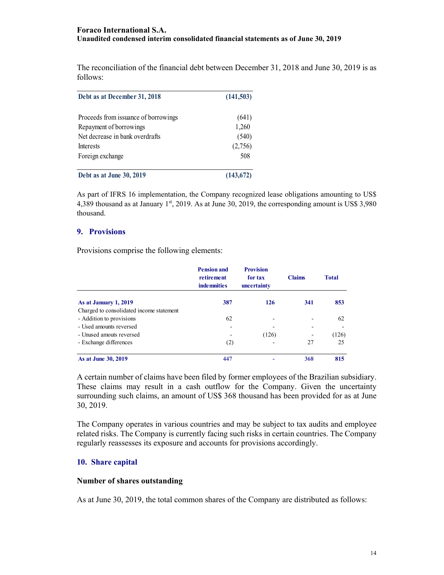The reconciliation of the financial debt between December 31, 2018 and June 30, 2019 is as follows:

| Debt as at December 31, 2018         | (141, 503) |  |
|--------------------------------------|------------|--|
| Proceeds from issuance of borrowings | (641)      |  |
| Repayment of borrowings              | 1,260      |  |
| Net decrease in bank overdrafts      | (540)      |  |
| <b>Interests</b>                     | (2,756)    |  |
| Foreign exchange                     | 508        |  |
| Debt as at June 30, 2019             | (143, 672) |  |

As part of IFRS 16 implementation, the Company recognized lease obligations amounting to US\$ 4,389 thousand as at January  $1<sup>st</sup>$ , 2019. As at June 30, 2019, the corresponding amount is US\$ 3,980 thousand.

#### **9. Provisions**

Provisions comprise the following elements:

|                                          | <b>Pension and</b><br>retirement<br><b>indemnities</b> | <b>Provision</b><br>for tax<br>uncertainty | <b>Claims</b> | <b>Total</b> |
|------------------------------------------|--------------------------------------------------------|--------------------------------------------|---------------|--------------|
| As at January 1, 2019                    | 387                                                    | 126                                        | 341           | 853          |
| Charged to consolidated income statement |                                                        |                                            |               |              |
| - Addition to provisions                 | 62                                                     |                                            |               | 62           |
| - Used amounts reversed                  |                                                        |                                            |               |              |
| - Unused amouts reversed                 |                                                        | (126)                                      |               | (126)        |
| - Exchange differences                   | (2)                                                    |                                            | 27            | 25           |
| As at June 30, 2019                      | 447                                                    |                                            | 368           | 815          |

A certain number of claims have been filed by former employees of the Brazilian subsidiary. These claims may result in a cash outflow for the Company. Given the uncertainty surrounding such claims, an amount of US\$ 368 thousand has been provided for as at June 30, 2019.

The Company operates in various countries and may be subject to tax audits and employee related risks. The Company is currently facing such risks in certain countries. The Company regularly reassesses its exposure and accounts for provisions accordingly.

#### **10. Share capital**

#### **Number of shares outstanding**

As at June 30, 2019, the total common shares of the Company are distributed as follows: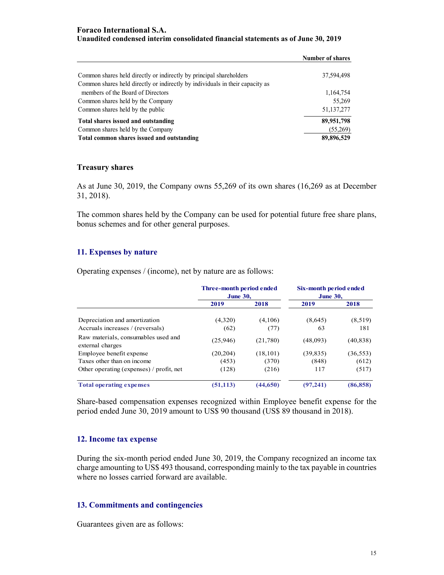|                                                                               | <b>Number of shares</b> |
|-------------------------------------------------------------------------------|-------------------------|
| Common shares held directly or indirectly by principal shareholders           | 37,594,498              |
| Common shares held directly or indirectly by individuals in their capacity as |                         |
| members of the Board of Directors                                             | 1,164,754               |
| Common shares held by the Company                                             | 55,269                  |
| Common shares held by the public                                              | 51, 137, 277            |
| Total shares issued and outstanding                                           | 89,951,798              |
| Common shares held by the Company                                             | (55,269)                |
| Total common shares issued and outstanding                                    | 89,896,529              |

#### **Treasury shares**

As at June 30, 2019, the Company owns 55,269 of its own shares (16,269 as at December 31, 2018).

The common shares held by the Company can be used for potential future free share plans, bonus schemes and for other general purposes.

#### **11. Expenses by nature**

Operating expenses / (income), net by nature are as follows:

|                                                         | Three-month period ended<br><b>June 30,</b> |           | Six-month period ended<br><b>June 30,</b> |           |
|---------------------------------------------------------|---------------------------------------------|-----------|-------------------------------------------|-----------|
|                                                         | 2019                                        | 2018      | 2019                                      | 2018      |
| Depreciation and amortization                           | (4,320)                                     | (4,106)   | (8,645)                                   | (8,519)   |
| Accruals increases / (reversals)                        | (62)                                        | (77)      | 63                                        | 181       |
| Raw materials, consumables used and<br>external charges | (25,946)                                    | (21,780)  | (48,093)                                  | (40, 838) |
| Employee benefit expense                                | (20, 204)                                   | (18, 101) | (39, 835)                                 | (36, 553) |
| Taxes other than on income                              | (453)                                       | (370)     | (848)                                     | (612)     |
| Other operating (expenses) / profit, net                | (128)                                       | (216)     | 117                                       | (517)     |
| <b>Total operating expenses</b>                         | (51, 113)                                   | (44, 650) | (97, 241)                                 | (86, 858) |

Share-based compensation expenses recognized within Employee benefit expense for the period ended June 30, 2019 amount to US\$ 90 thousand (US\$ 89 thousand in 2018).

## **12. Income tax expense**

During the six-month period ended June 30, 2019, the Company recognized an income tax charge amounting to US\$ 493 thousand, corresponding mainly to the tax payable in countries where no losses carried forward are available.

#### **13. Commitments and contingencies**

Guarantees given are as follows: